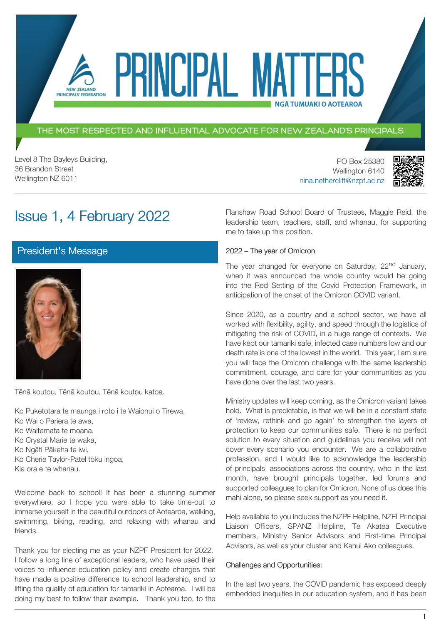### THE MOST RESPECTED AND INFLUENTIAL ADVOCATE FOR NEW ZEALAND'S PRINCIPALS

PRINCIPAL MAT

Level 8 The Bayleys Building, 36 Brandon Street Wellington NZ 6011

NEW ZEALAND PRINCIPALS' FEDERATION

> PO Box 25380 Wellington 6140 [nina.netherclift@nzpf.ac.nz](mailto:mailto:nina.netherclift@nzpf.ac.nz)



# Issue 1, 4 February 2022

[President's Message](https://nzpf.schoolzineplus.com/newsletter/article/478?skin=1)



Tēnā koutou, Tēnā koutou, Tēnā koutou katoa.

Ko Puketotara te maunga i roto i te Waionui o Tirewa, Ko Wai o Pariera te awa, Ko Waitemata te moana, Ko Crystal Marie te waka, Ko Ngāti Pākeha te iwi, Ko Cherie Taylor-Patel tōku ingoa, Kia ora e te whanau.

Welcome back to school! It has been a stunning summer everywhere, so I hope you were able to take time-out to immerse yourself in the beautiful outdoors of Aotearoa, walking, swimming, biking, reading, and relaxing with whanau and friends.

Thank you for electing me as your NZPF President for 2022. I follow a long line of exceptional leaders, who have used their voices to influence education policy and create changes that have made a positive difference to school leadership, and to lifting the quality of education for tamariki in Aotearoa. I will be doing my best to follow their example. Thank you too, to the Flanshaw Road School Board of Trustees, Maggie Reid, the leadership team, teachers, staff, and whanau, for supporting me to take up this position.

**NGÅ TUMUAKI O AOTEAROA** 

#### 2022 – The year of Omicron

The year changed for everyone on Saturday, 22<sup>nd</sup> January, when it was announced the whole country would be going into the Red Setting of the Covid Protection Framework, in anticipation of the onset of the Omicron COVID variant.

Since 2020, as a country and a school sector, we have all worked with flexibility, agility, and speed through the logistics of mitigating the risk of COVID, in a huge range of contexts. We have kept our tamariki safe, infected case numbers low and our death rate is one of the lowest in the world. This year, I am sure you will face the Omicron challenge with the same leadership commitment, courage, and care for your communities as you have done over the last two years.

Ministry updates will keep coming, as the Omicron variant takes hold. What is predictable, is that we will be in a constant state of 'review, rethink and go again' to strengthen the layers of protection to keep our communities safe. There is no perfect solution to every situation and guidelines you receive will not cover every scenario you encounter. We are a collaborative profession, and I would like to acknowledge the leadership of principals' associations across the country, who in the last month, have brought principals together, led forums and supported colleagues to plan for Omicron. None of us does this mahi alone, so please seek support as you need it.

Help available to you includes the NZPF Helpline, NZEI Principal Liaison Officers, SPANZ Helpline, Te Akatea Executive members, Ministry Senior Advisors and First-time Principal Advisors, as well as your cluster and Kahui Ako colleagues.

#### Challenges and Opportunities:

In the last two years, the COVID pandemic has exposed deeply embedded inequities in our education system, and it has been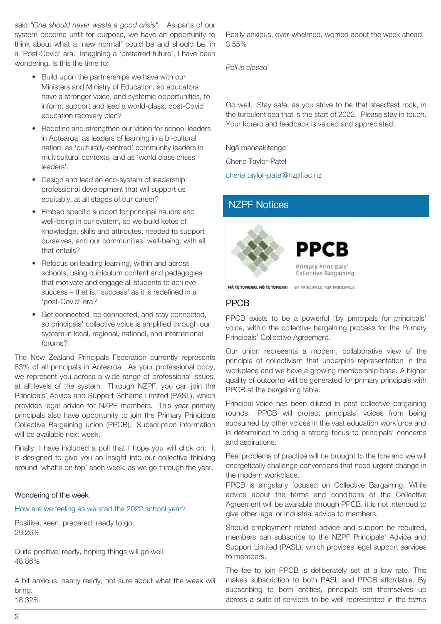said *"One should never waste a good crisis".* As parts of our system become unfit for purpose, we have an opportunity to think about what a 'new normal' could be and should be, in a 'Post-Covid' era. Imagining a 'preferred future', I have been wondering. Is this the time to:

- Build upon the partnerships we have with our Ministers and Ministry of Education, so educators have a stronger voice, and systemic opportunities, to inform, support and lead a world-class, post-Covid education recovery plan?
- Redefine and strengthen our vision for school leaders in Aotearoa, as leaders of learning in a bi-cultural nation, as 'culturally-centred' community leaders in multicultural contexts, and as 'world class crises leaders'.
- Design and lead an eco-system of leadership professional development that will support us equitably, at all stages of our career?
- Embed specific support for principal hauora and well-being in our system, so we build ketes of knowledge, skills and attributes, needed to support ourselves, and our communities' well-being, with all that entails?
- Refocus on leading learning, within and across schools, using curriculum content and pedagogies that motivate and engage all students to achieve success – that is, 'success' as it is redefined in a 'post-Covid' era?
- Get connected, be connected, and stay connected, so principals' collective voice is amplified through our system in local, regional, national, and international forums?

The New Zealand Principals Federation currently represents 83% of all principals in Aotearoa. As your professional body, we represent you across a wide range of professional issues, at all levels of the system. Through NZPF, you can join the Principals' Advice and Support Scheme Limited (PASL), which provides legal advice for NZPF members. This year primary principals also have opportunity to join the Primary Principals Collective Bargaining union (PPCB). Subscription information will be available next week.

Finally, I have included a poll that I hope you will click on. It is designed to give you an insight into our collective thinking around 'what's on top' each week, as we go through the year.

### Wondering of the week

### How are we feeling as we start the 2022 school year?

Positive, keen, prepared, ready to go. 29.26%

Quite positive, ready, hoping things will go well. 48.86%

A bit anxious, nearly ready, not sure about what the week will bring. 18.32%

Really anxious, over-whelmed, worried about the week ahead. 3.55%

*Poll is closed*

Go well. Stay safe, as you strive to be that steadfast rock, in the turbulent sea that is the start of 2022. Please stay in touch. Your korero and feedback is valued and appreciated.

Ngā manaakitanga

Cherie Taylor-Patel

[cherie.taylor-patel@nzpf.ac.nz](mailto:cherie.taylor-patel@nzpf.ac.nz)

## [NZPF Notices](https://nzpf.schoolzineplus.com/newsletter/article/479?skin=1)



MÃ TE TUMUAKI, MÕ TE TUMUAKI | BY PRINCIPALS, FOR PRINCIPALS

## PPCB

PPCB exists to be a powerful "by principals for principals' voice, within the collective bargaining process for the Primary Principals' Collective Agreement.

Our union represents a modern, collaborative view of the principle of collectivism that underpins representation in the workplace and we have a growing membership base. A higher quality of outcome will be generated for primary principals with PPCB at the bargaining table.

Principal voice has been diluted in past collective bargaining rounds. PPCB will protect principals' voices from being subsumed by other voices in the vast education workforce and is determined to bring a strong focus to principals' concerns and aspirations.

Real problems of practice will be brought to the fore and we will energetically challenge conventions that need urgent change in the modern workplace.

PPCB is singularly focused on Collective Bargaining. While advice about the terms and conditions of the Collective Agreement will be available through PPCB, it is not intended to give other legal or industrial advice to members.

Should employment related advice and support be required, members can subscribe to the NZPF Principals' Advice and Support Limited (PASL), which provides legal support services to members.

The fee to join PPCB is deliberately set at a low rate. This makes subscription to both PASL and PPCB affordable. By subscribing to both entities, principals set themselves up across a suite of services to be well represented in the *terms*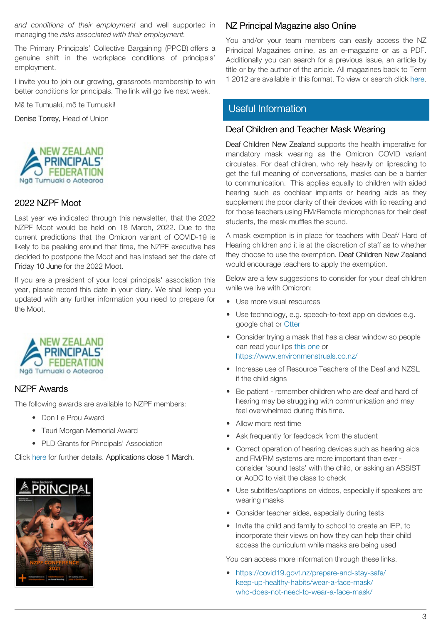*and conditions of their employment* and well supported in managing the *risks associated with their employment.*

The Primary Principals' Collective Bargaining (PPCB) offers a genuine shift in the workplace conditions of principals' employment.

I invite you to join our growing, grassroots membership to win better conditions for principals. The link will go live next week.

Mā te Tumuaki, mō te Tumuaki!

Denise Torrey, Head of Union



### 2022 NZPF Moot

Last year we indicated through this newsletter, that the 2022 NZPF Moot would be held on 18 March, 2022. Due to the current predictions that the Omicron variant of COVID-19 is likely to be peaking around that time, the NZPF executive has decided to postpone the Moot and has instead set the date of Friday 10 June for the 2022 Moot.

If you are a president of your local principals' association this year, please record this date in your diary. We shall keep you updated with any further information you need to prepare for the Moot.



## NZPF Awards

The following awards are available to NZPF members:

- Don Le Prou Award
- Tauri Morgan Memorial Award
- PLD Grants for Principals' Association

Click [here](https://nzpf.us13.list-manage.com/track/click?u=fa20eca115cfcba6a5e25b02f&id=f36d84b628&e=feb016e9b0) for further details. Applications close 1 March.



## NZ Principal Magazine also Online

You and/or your team members can easily access the NZ Principal Magazines online, as an e-magazine or as a PDF. Additionally you can search for a previous issue, an article by title or by the author of the article. All magazines back to Term 1 2012 are available in this format. To view or search click [here.](http://nzprincipal.co.nz/view-the-magazine/)

## [Useful Information](https://nzpf.schoolzineplus.com/newsletter/article/480?skin=1)

### Deaf Children and Teacher Mask Wearing

Deaf Children New Zealand supports the health imperative for mandatory mask wearing as the Omicron COVID variant circulates. For deaf children, who rely heavily on lipreading to get the full meaning of conversations, masks can be a barrier to communication. This applies equally to children with aided hearing such as cochlear implants or hearing aids as they supplement the poor clarity of their devices with lip reading and for those teachers using FM/Remote microphones for their deaf students, the mask muffles the sound.

A mask exemption is in place for teachers with Deaf/ Hard of Hearing children and it is at the discretion of staff as to whether they choose to use the exemption. Deaf Children New Zealand would encourage teachers to apply the exemption.

Below are a few suggestions to consider for your deaf children while we live with Omicron:

- Use more visual resources
- Use technology, e.g. speech-to-text app on devices e.g. google chat or [Otter](http://otter.ai/recording?r=%2Fhome)
- Consider trying a mask that has a clear window so people can read your lips [this one](https://nzl.grandado.com/products/mask-with-clear-window-visible-expression-for-the-deaf-and-hard-of-hearing-masks-fully-transparent-reusable-cover-masks-3?variant=UHJvZHVjdFZhcmlhbnQ6MTYyMzcwNTU4&gclid=Cj0KCQiAxc6PBhCEARIsAH8Hff3tvjFzkrC5pb21DAJJimTGrYSmDWdj0uoZ5nsPisN7WwsHqIydCMkaApGzEALw_wcB) or <https://www.environmenstruals.co.nz/>
- Increase use of Resource Teachers of the Deaf and NZSL if the child signs
- Be patient remember children who are deaf and hard of hearing may be struggling with communication and may feel overwhelmed during this time.
- Allow more rest time
- Ask frequently for feedback from the student
- Correct operation of hearing devices such as hearing aids and FM/RM systems are more important than ever consider 'sound tests' with the child, or asking an ASSIST or AoDC to visit the class to check
- Use subtitles/captions on videos, especially if speakers are wearing masks
- Consider teacher aides, especially during tests
- Invite the child and family to school to create an IEP, to incorporate their views on how they can help their child access the curriculum while masks are being used

You can access more information through these links.

• [https://covid19.govt.nz/prepare-and-stay-safe/](https://covid19.govt.nz/prepare-and-stay-safe/keep-up-healthy-habits/wear-a-face-mask/who-does-not-need-to-wear-a-face-mask/) [keep-up-healthy-habits/wear-a-face-mask/](https://covid19.govt.nz/prepare-and-stay-safe/keep-up-healthy-habits/wear-a-face-mask/who-does-not-need-to-wear-a-face-mask/) [who-does-not-need-to-wear-a-face-mask/](https://covid19.govt.nz/prepare-and-stay-safe/keep-up-healthy-habits/wear-a-face-mask/who-does-not-need-to-wear-a-face-mask/)